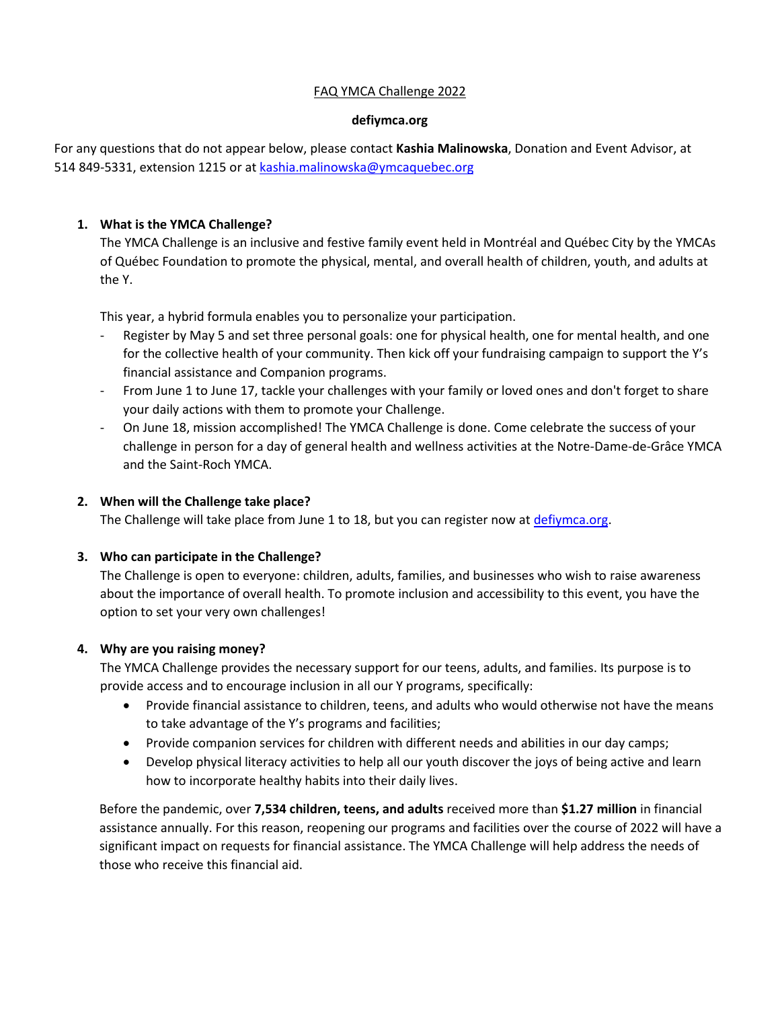# FAQ YMCA Challenge 2022

### **defiymca.org**

For any questions that do not appear below, please contact **Kashia Malinowska**, Donation and Event Advisor, at 514 849-5331, extension 1215 or at [kashia.malinowska@ymcaquebec.org](mailto:kashia.malinowska@ymcaquebec.org)

# **1. What is the YMCA Challenge?**

The YMCA Challenge is an inclusive and festive family event held in Montréal and Québec City by the YMCAs of Québec Foundation to promote the physical, mental, and overall health of children, youth, and adults at the Y.

This year, a hybrid formula enables you to personalize your participation.

- Register by May 5 and set three personal goals: one for physical health, one for mental health, and one for the collective health of your community. Then kick off your fundraising campaign to support the Y's financial assistance and Companion programs.
- From June 1 to June 17, tackle your challenges with your family or loved ones and don't forget to share your daily actions with them to promote your Challenge.
- On June 18, mission accomplished! The YMCA Challenge is done. Come celebrate the success of your challenge in person for a day of general health and wellness activities at the Notre-Dame-de-Grâce YMCA and the Saint-Roch YMCA.

## **2. When will the Challenge take place?**

The Challenge will take place from June 1 to 18, but you can register now at [defiymca.org.](mailto:www.defiymca.org)

## **3. Who can participate in the Challenge?**

The Challenge is open to everyone: children, adults, families, and businesses who wish to raise awareness about the importance of overall health. To promote inclusion and accessibility to this event, you have the option to set your very own challenges!

## **4. Why are you raising money?**

The YMCA Challenge provides the necessary support for our teens, adults, and families. Its purpose is to provide access and to encourage inclusion in all our Y programs, specifically:

- Provide financial assistance to children, teens, and adults who would otherwise not have the means to take advantage of the Y's programs and facilities;
- Provide companion services for children with different needs and abilities in our day camps;
- Develop physical literacy activities to help all our youth discover the joys of being active and learn how to incorporate healthy habits into their daily lives.

Before the pandemic, over **7,534 children, teens, and adults** received more than **\$1.27 million** in financial assistance annually. For this reason, reopening our programs and facilities over the course of 2022 will have a significant impact on requests for financial assistance. The YMCA Challenge will help address the needs of those who receive this financial aid.